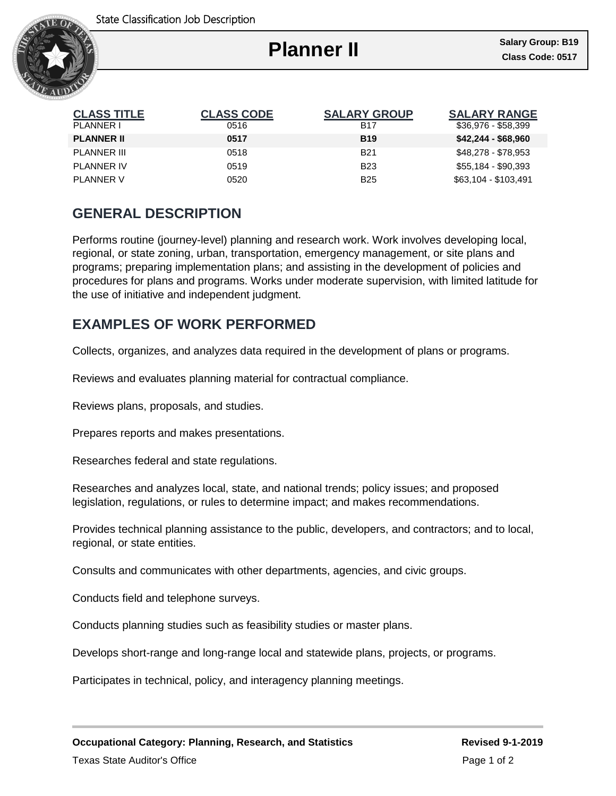

I

| <b>CLASS TITLE</b> | <b>CLASS CODE</b> | <b>SALARY GROUP</b> | <b>SALARY RANGE</b>  |
|--------------------|-------------------|---------------------|----------------------|
| <b>PLANNER I</b>   | 0516              | <b>B17</b>          | \$36,976 - \$58,399  |
| <b>PLANNER II</b>  | 0517              | <b>B19</b>          | $$42,244 - $68,960$  |
| <b>PLANNER III</b> | 0518              | <b>B21</b>          | \$48,278 - \$78,953  |
| <b>PLANNER IV</b>  | 0519              | <b>B23</b>          | \$55,184 - \$90,393  |
| PLANNER V          | 0520              | <b>B25</b>          | \$63,104 - \$103,491 |

## **GENERAL DESCRIPTION**

Performs routine (journey-level) planning and research work. Work involves developing local, regional, or state zoning, urban, transportation, emergency management, or site plans and programs; preparing implementation plans; and assisting in the development of policies and procedures for plans and programs. Works under moderate supervision, with limited latitude for the use of initiative and independent judgment.

### **EXAMPLES OF WORK PERFORMED**

Collects, organizes, and analyzes data required in the development of plans or programs.

Reviews and evaluates planning material for contractual compliance.

Reviews plans, proposals, and studies.

Prepares reports and makes presentations.

Researches federal and state regulations.

Researches and analyzes local, state, and national trends; policy issues; and proposed legislation, regulations, or rules to determine impact; and makes recommendations.

Provides technical planning assistance to the public, developers, and contractors; and to local, regional, or state entities.

Consults and communicates with other departments, agencies, and civic groups.

Conducts field and telephone surveys.

Conducts planning studies such as feasibility studies or master plans.

Develops short-range and long-range local and statewide plans, projects, or programs.

Participates in technical, policy, and interagency planning meetings.